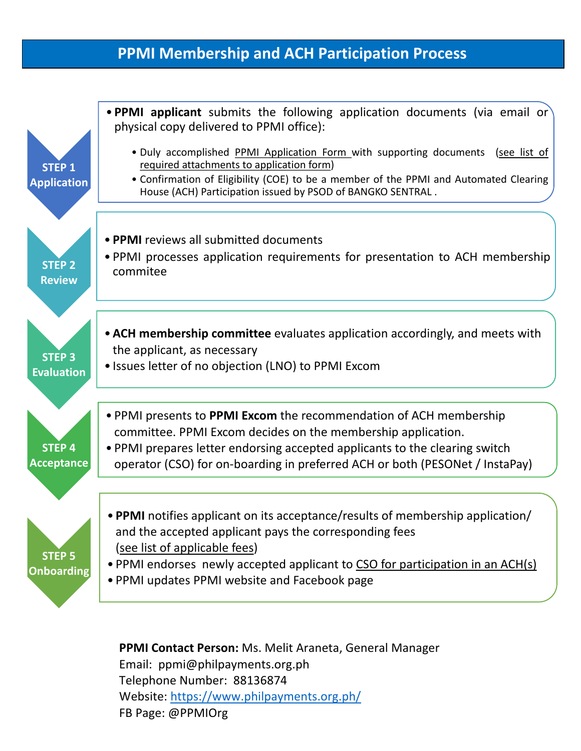### **PPMI Membership and ACH Participation Process**



**PPMI Contact Person:** Ms. Melit Araneta, General Manager Email: ppmi@philpayments.org.ph Telephone Number: 88136874 Website: https://www.philpayments.org.ph/ FB Page: @PPMIOrg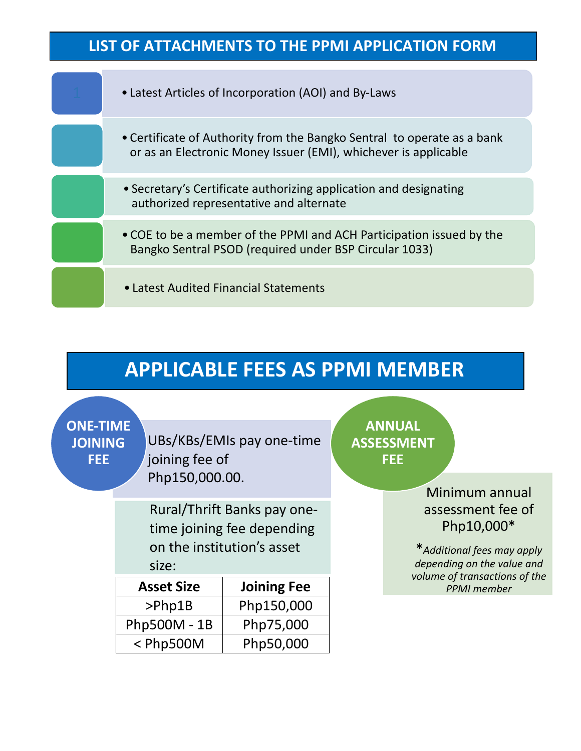## **LIST OF ATTACHMENTS TO THE PPMI APPLICATION FORM**



# **APPLICABLE FEES AS PPMI MEMBER**

**ONE-TIME JOINING FEE**

UBs/KBs/EMIs pay one-time joining fee of Php150,000.00.

Rural/Thrift Banks pay onetime joining fee depending on the institution's asset size:

| <b>Asset Size</b> | <b>Joining Fee</b> |
|-------------------|--------------------|
| $>$ Php1B         | Php150,000         |
| Php500M - 1B      | Php75,000          |
| $<$ Php500M       | Php50,000          |

**ANNUAL ASSESSMENT FEE**

> Minimum annual assessment fee of Php10,000\*

\**Additional fees may apply depending on the value and volume of transactions of the PPMI member*